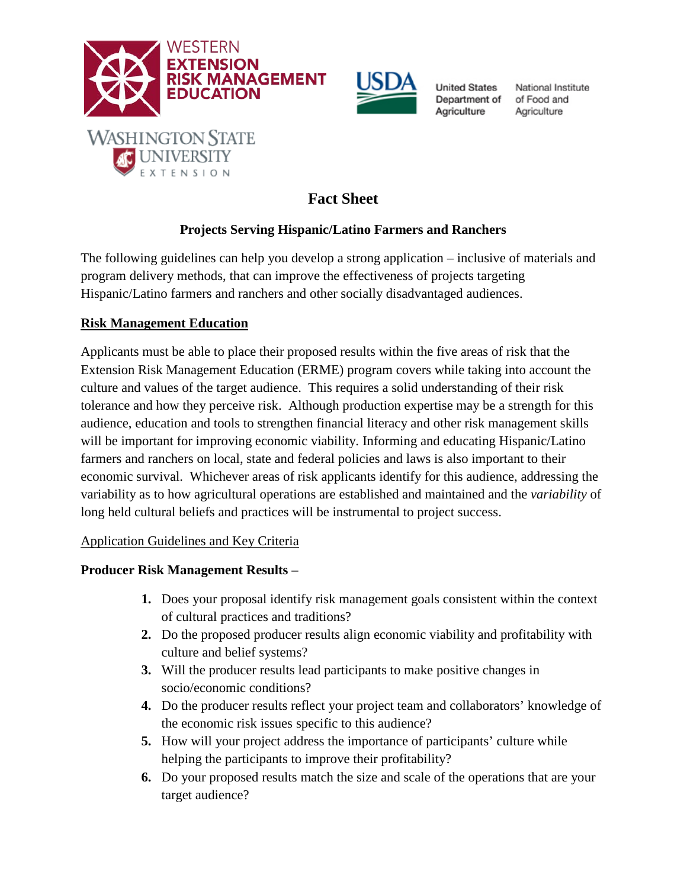



**United States** Department of Agriculture

National Institute of Food and Agriculture

# **Fact Sheet**

## **Projects Serving Hispanic/Latino Farmers and Ranchers**

The following guidelines can help you develop a strong application – inclusive of materials and program delivery methods, that can improve the effectiveness of projects targeting Hispanic/Latino farmers and ranchers and other socially disadvantaged audiences.

## **Risk Management Education**

Applicants must be able to place their proposed results within the five areas of risk that the Extension Risk Management Education (ERME) program covers while taking into account the culture and values of the target audience. This requires a solid understanding of their risk tolerance and how they perceive risk. Although production expertise may be a strength for this audience, education and tools to strengthen financial literacy and other risk management skills will be important for improving economic viability. Informing and educating Hispanic/Latino farmers and ranchers on local, state and federal policies and laws is also important to their economic survival. Whichever areas of risk applicants identify for this audience, addressing the variability as to how agricultural operations are established and maintained and the *variability* of long held cultural beliefs and practices will be instrumental to project success.

## Application Guidelines and Key Criteria

## **Producer Risk Management Results –**

- **1.** Does your proposal identify risk management goals consistent within the context of cultural practices and traditions?
- **2.** Do the proposed producer results align economic viability and profitability with culture and belief systems?
- **3.** Will the producer results lead participants to make positive changes in socio/economic conditions?
- **4.** Do the producer results reflect your project team and collaborators' knowledge of the economic risk issues specific to this audience?
- **5.** How will your project address the importance of participants' culture while helping the participants to improve their profitability?
- **6.** Do your proposed results match the size and scale of the operations that are your target audience?